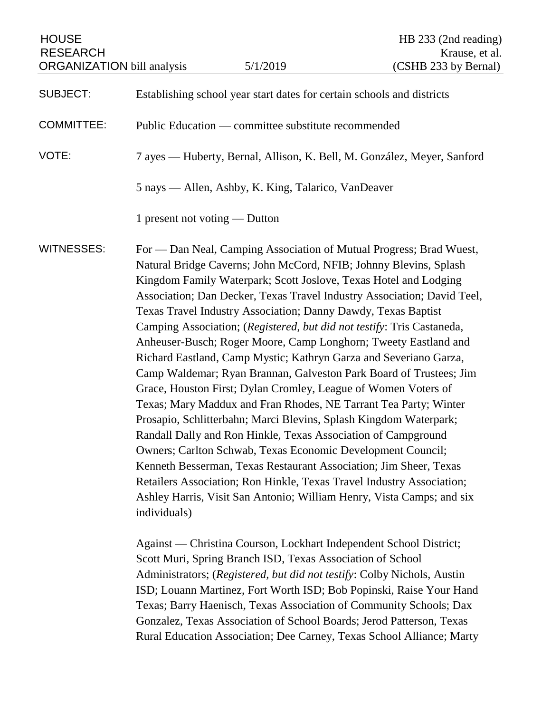| <b>HOUSE</b><br><b>RESEARCH</b><br><b>ORGANIZATION</b> bill analysis |                                                     | 5/1/2019                                                   | HB 233 (2nd reading)<br>Krause, et al.<br>(CSHB 233 by Bernal)                                                                                                                                                                                                                                                                                                                                                                                                                                                                                                                                                                                                                                                                                                                                                                                                                                                                                                                                                                                                                                                                                                                                                     |  |
|----------------------------------------------------------------------|-----------------------------------------------------|------------------------------------------------------------|--------------------------------------------------------------------------------------------------------------------------------------------------------------------------------------------------------------------------------------------------------------------------------------------------------------------------------------------------------------------------------------------------------------------------------------------------------------------------------------------------------------------------------------------------------------------------------------------------------------------------------------------------------------------------------------------------------------------------------------------------------------------------------------------------------------------------------------------------------------------------------------------------------------------------------------------------------------------------------------------------------------------------------------------------------------------------------------------------------------------------------------------------------------------------------------------------------------------|--|
| <b>SUBJECT:</b>                                                      |                                                     |                                                            | Establishing school year start dates for certain schools and districts                                                                                                                                                                                                                                                                                                                                                                                                                                                                                                                                                                                                                                                                                                                                                                                                                                                                                                                                                                                                                                                                                                                                             |  |
| <b>COMMITTEE:</b>                                                    |                                                     | Public Education — committee substitute recommended        |                                                                                                                                                                                                                                                                                                                                                                                                                                                                                                                                                                                                                                                                                                                                                                                                                                                                                                                                                                                                                                                                                                                                                                                                                    |  |
| VOTE:                                                                |                                                     |                                                            | 7 ayes — Huberty, Bernal, Allison, K. Bell, M. González, Meyer, Sanford                                                                                                                                                                                                                                                                                                                                                                                                                                                                                                                                                                                                                                                                                                                                                                                                                                                                                                                                                                                                                                                                                                                                            |  |
|                                                                      | 5 nays — Allen, Ashby, K. King, Talarico, VanDeaver |                                                            |                                                                                                                                                                                                                                                                                                                                                                                                                                                                                                                                                                                                                                                                                                                                                                                                                                                                                                                                                                                                                                                                                                                                                                                                                    |  |
|                                                                      | 1 present not voting — Dutton                       |                                                            |                                                                                                                                                                                                                                                                                                                                                                                                                                                                                                                                                                                                                                                                                                                                                                                                                                                                                                                                                                                                                                                                                                                                                                                                                    |  |
| <b>WITNESSES:</b>                                                    | individuals)                                        |                                                            | For — Dan Neal, Camping Association of Mutual Progress; Brad Wuest,<br>Natural Bridge Caverns; John McCord, NFIB; Johnny Blevins, Splash<br>Kingdom Family Waterpark; Scott Joslove, Texas Hotel and Lodging<br>Association; Dan Decker, Texas Travel Industry Association; David Teel,<br>Texas Travel Industry Association; Danny Dawdy, Texas Baptist<br>Camping Association; (Registered, but did not testify: Tris Castaneda,<br>Anheuser-Busch; Roger Moore, Camp Longhorn; Tweety Eastland and<br>Richard Eastland, Camp Mystic; Kathryn Garza and Severiano Garza,<br>Camp Waldemar; Ryan Brannan, Galveston Park Board of Trustees; Jim<br>Grace, Houston First; Dylan Cromley, League of Women Voters of<br>Texas; Mary Maddux and Fran Rhodes, NE Tarrant Tea Party; Winter<br>Prosapio, Schlitterbahn; Marci Blevins, Splash Kingdom Waterpark;<br>Randall Dally and Ron Hinkle, Texas Association of Campground<br>Owners; Carlton Schwab, Texas Economic Development Council;<br>Kenneth Besserman, Texas Restaurant Association; Jim Sheer, Texas<br>Retailers Association; Ron Hinkle, Texas Travel Industry Association;<br>Ashley Harris, Visit San Antonio; William Henry, Vista Camps; and six |  |
|                                                                      |                                                     | Scott Muri, Spring Branch ISD, Texas Association of School | Against — Christina Courson, Lockhart Independent School District;<br>Administrators; (Registered, but did not testify: Colby Nichols, Austin<br>ISD; Louann Martinez, Fort Worth ISD; Bob Popinski, Raise Your Hand                                                                                                                                                                                                                                                                                                                                                                                                                                                                                                                                                                                                                                                                                                                                                                                                                                                                                                                                                                                               |  |

Texas; Barry Haenisch, Texas Association of Community Schools; Dax Gonzalez, Texas Association of School Boards; Jerod Patterson, Texas Rural Education Association; Dee Carney, Texas School Alliance; Marty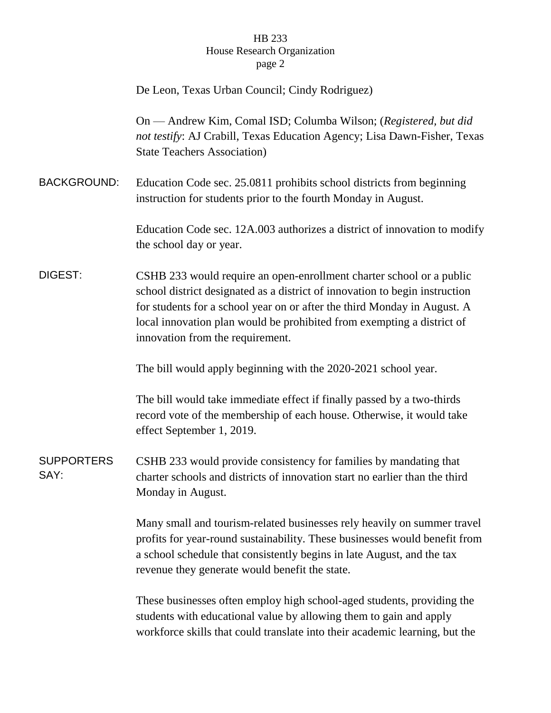## HB 233 House Research Organization page 2

|                           | De Leon, Texas Urban Council; Cindy Rodriguez)                                                                                                                                                                                                                                                                                                |  |
|---------------------------|-----------------------------------------------------------------------------------------------------------------------------------------------------------------------------------------------------------------------------------------------------------------------------------------------------------------------------------------------|--|
|                           | On — Andrew Kim, Comal ISD; Columba Wilson; (Registered, but did<br>not testify: AJ Crabill, Texas Education Agency; Lisa Dawn-Fisher, Texas<br><b>State Teachers Association</b> )                                                                                                                                                           |  |
| <b>BACKGROUND:</b>        | Education Code sec. 25.0811 prohibits school districts from beginning<br>instruction for students prior to the fourth Monday in August.                                                                                                                                                                                                       |  |
|                           | Education Code sec. 12A.003 authorizes a district of innovation to modify<br>the school day or year.                                                                                                                                                                                                                                          |  |
| DIGEST:                   | CSHB 233 would require an open-enrollment charter school or a public<br>school district designated as a district of innovation to begin instruction<br>for students for a school year on or after the third Monday in August. A<br>local innovation plan would be prohibited from exempting a district of<br>innovation from the requirement. |  |
|                           | The bill would apply beginning with the 2020-2021 school year.                                                                                                                                                                                                                                                                                |  |
|                           | The bill would take immediate effect if finally passed by a two-thirds<br>record vote of the membership of each house. Otherwise, it would take<br>effect September 1, 2019.                                                                                                                                                                  |  |
| <b>SUPPORTERS</b><br>SAY: | CSHB 233 would provide consistency for families by mandating that<br>charter schools and districts of innovation start no earlier than the third<br>Monday in August.                                                                                                                                                                         |  |
|                           | Many small and tourism-related businesses rely heavily on summer travel<br>profits for year-round sustainability. These businesses would benefit from<br>a school schedule that consistently begins in late August, and the tax<br>revenue they generate would benefit the state.                                                             |  |
|                           | These businesses often employ high school-aged students, providing the<br>students with educational value by allowing them to gain and apply<br>workforce skills that could translate into their academic learning, but the                                                                                                                   |  |